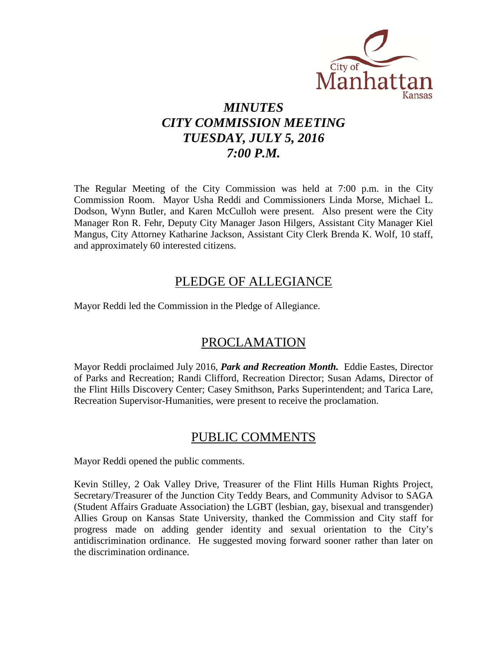

# *MINUTES CITY COMMISSION MEETING TUESDAY, JULY 5, 2016 7:00 P.M.*

The Regular Meeting of the City Commission was held at 7:00 p.m. in the City Commission Room. Mayor Usha Reddi and Commissioners Linda Morse, Michael L. Dodson, Wynn Butler, and Karen McCulloh were present. Also present were the City Manager Ron R. Fehr, Deputy City Manager Jason Hilgers, Assistant City Manager Kiel Mangus, City Attorney Katharine Jackson, Assistant City Clerk Brenda K. Wolf, 10 staff, and approximately 60 interested citizens.

# PLEDGE OF ALLEGIANCE

Mayor Reddi led the Commission in the Pledge of Allegiance.

# PROCLAMATION

Mayor Reddi proclaimed July 2016, *Park and Recreation Month.* Eddie Eastes, Director of Parks and Recreation; Randi Clifford, Recreation Director; Susan Adams, Director of the Flint Hills Discovery Center; Casey Smithson, Parks Superintendent; and Tarica Lare, Recreation Supervisor-Humanities, were present to receive the proclamation.

## PUBLIC COMMENTS

Mayor Reddi opened the public comments.

Kevin Stilley, 2 Oak Valley Drive, Treasurer of the Flint Hills Human Rights Project, Secretary/Treasurer of the Junction City Teddy Bears, and Community Advisor to SAGA (Student Affairs Graduate Association) the LGBT (lesbian, gay, bisexual and transgender) Allies Group on Kansas State University, thanked the Commission and City staff for progress made on adding gender identity and sexual orientation to the City's antidiscrimination ordinance. He suggested moving forward sooner rather than later on the discrimination ordinance.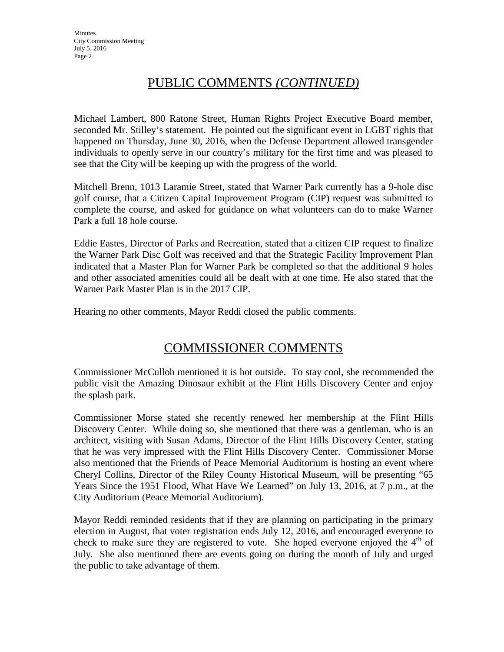# PUBLIC COMMENTS *(CONTINUED)*

Michael Lambert, 800 Ratone Street, Human Rights Project Executive Board member, seconded Mr. Stilley's statement. He pointed out the significant event in LGBT rights that happened on Thursday, June 30, 2016, when the Defense Department allowed transgender individuals to openly serve in our country's military for the first time and was pleased to see that the City will be keeping up with the progress of the world.

Mitchell Brenn, 1013 Laramie Street, stated that Warner Park currently has a 9-hole disc golf course, that a Citizen Capital Improvement Program (CIP) request was submitted to complete the course, and asked for guidance on what volunteers can do to make Warner Park a full 18 hole course.

Eddie Eastes, Director of Parks and Recreation, stated that a citizen CIP request to finalize the Warner Park Disc Golf was received and that the Strategic Facility Improvement Plan indicated that a Master Plan for Warner Park be completed so that the additional 9 holes and other associated amenities could all be dealt with at one time. He also stated that the Warner Park Master Plan is in the 2017 CIP.

Hearing no other comments, Mayor Reddi closed the public comments.

# COMMISSIONER COMMENTS

Commissioner McCulloh mentioned it is hot outside. To stay cool, she recommended the public visit the Amazing Dinosaur exhibit at the Flint Hills Discovery Center and enjoy the splash park.

Commissioner Morse stated she recently renewed her membership at the Flint Hills Discovery Center. While doing so, she mentioned that there was a gentleman, who is an architect, visiting with Susan Adams, Director of the Flint Hills Discovery Center, stating that he was very impressed with the Flint Hills Discovery Center. Commissioner Morse also mentioned that the Friends of Peace Memorial Auditorium is hosting an event where Cheryl Collins, Director of the Riley County Historical Museum, will be presenting "65 Years Since the 1951 Flood, What Have We Learned" on July 13, 2016, at 7 p.m., at the City Auditorium (Peace Memorial Auditorium).

Mayor Reddi reminded residents that if they are planning on participating in the primary election in August, that voter registration ends July 12, 2016, and encouraged everyone to check to make sure they are registered to vote. She hoped everyone enjoyed the  $4<sup>th</sup>$  of July. She also mentioned there are events going on during the month of July and urged the public to take advantage of them.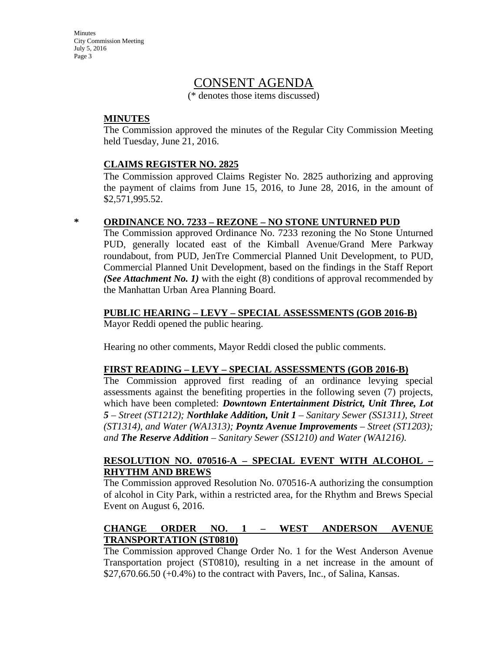## CONSENT AGENDA

(\* denotes those items discussed)

## **MINUTES**

The Commission approved the minutes of the Regular City Commission Meeting held Tuesday, June 21, 2016.

## **CLAIMS REGISTER NO. 2825**

The Commission approved Claims Register No. 2825 authorizing and approving the payment of claims from June 15, 2016, to June 28, 2016, in the amount of \$2,571,995.52.

### **\* ORDINANCE NO. 7233 – REZONE – NO STONE UNTURNED PUD**

The Commission approved Ordinance No. 7233 rezoning the No Stone Unturned PUD, generally located east of the Kimball Avenue/Grand Mere Parkway roundabout, from PUD, JenTre Commercial Planned Unit Development, to PUD, Commercial Planned Unit Development, based on the findings in the Staff Report *(See Attachment No. 1)* with the eight (8) conditions of approval recommended by the Manhattan Urban Area Planning Board.

# **PUBLIC HEARING – LEVY – SPECIAL ASSESSMENTS (GOB 2016-B)**

Mayor Reddi opened the public hearing.

Hearing no other comments, Mayor Reddi closed the public comments.

### **FIRST READING – LEVY – SPECIAL ASSESSMENTS (GOB 2016-B)**

The Commission approved first reading of an ordinance levying special assessments against the benefiting properties in the following seven (7) projects, which have been completed: *Downtown Entertainment District, Unit Three, Lot 5 – Street (ST1212); Northlake Addition, Unit 1 – Sanitary Sewer (SS1311), Street (ST1314), and Water (WA1313); Poyntz Avenue Improvements – Street (ST1203); and The Reserve Addition – Sanitary Sewer (SS1210) and Water (WA1216).*

## **RESOLUTION NO. 070516-A – SPECIAL EVENT WITH ALCOHOL – RHYTHM AND BREWS**

The Commission approved Resolution No. 070516-A authorizing the consumption of alcohol in City Park, within a restricted area, for the Rhythm and Brews Special Event on August 6, 2016.

## **CHANGE ORDER NO. 1 – WEST ANDERSON AVENUE TRANSPORTATION (ST0810)**

The Commission approved Change Order No. 1 for the West Anderson Avenue Transportation project (ST0810), resulting in a net increase in the amount of  $$27,670.66.50$  (+0.4%) to the contract with Pavers, Inc., of Salina, Kansas.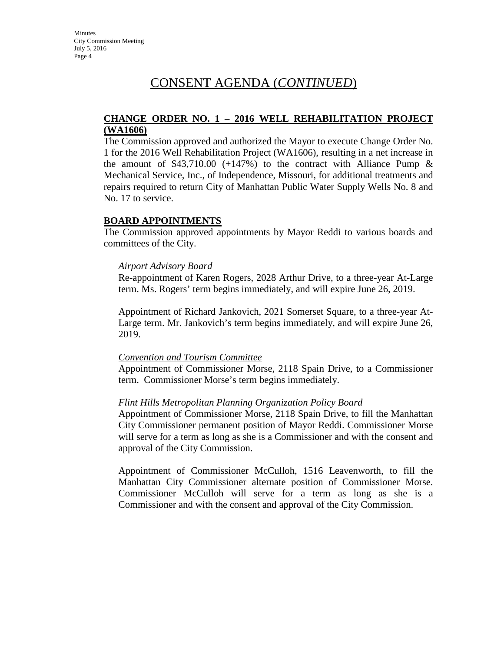# CONSENT AGENDA (*CONTINUED*)

## **CHANGE ORDER NO. 1 – 2016 WELL REHABILITATION PROJECT (WA1606)**

The Commission approved and authorized the Mayor to execute Change Order No. 1 for the 2016 Well Rehabilitation Project (WA1606), resulting in a net increase in the amount of \$43,710.00 (+147%) to the contract with Alliance Pump  $\&$ Mechanical Service, Inc., of Independence, Missouri, for additional treatments and repairs required to return City of Manhattan Public Water Supply Wells No. 8 and No. 17 to service.

## **BOARD APPOINTMENTS**

The Commission approved appointments by Mayor Reddi to various boards and committees of the City.

### *Airport Advisory Board*

Re-appointment of Karen Rogers, 2028 Arthur Drive, to a three-year At-Large term. Ms. Rogers' term begins immediately, and will expire June 26, 2019.

Appointment of Richard Jankovich, 2021 Somerset Square, to a three-year At-Large term. Mr. Jankovich's term begins immediately, and will expire June 26, 2019.

### *Convention and Tourism Committee*

Appointment of Commissioner Morse, 2118 Spain Drive, to a Commissioner term. Commissioner Morse's term begins immediately.

### *Flint Hills Metropolitan Planning Organization Policy Board*

Appointment of Commissioner Morse, 2118 Spain Drive, to fill the Manhattan City Commissioner permanent position of Mayor Reddi. Commissioner Morse will serve for a term as long as she is a Commissioner and with the consent and approval of the City Commission.

Appointment of Commissioner McCulloh, 1516 Leavenworth, to fill the Manhattan City Commissioner alternate position of Commissioner Morse. Commissioner McCulloh will serve for a term as long as she is a Commissioner and with the consent and approval of the City Commission.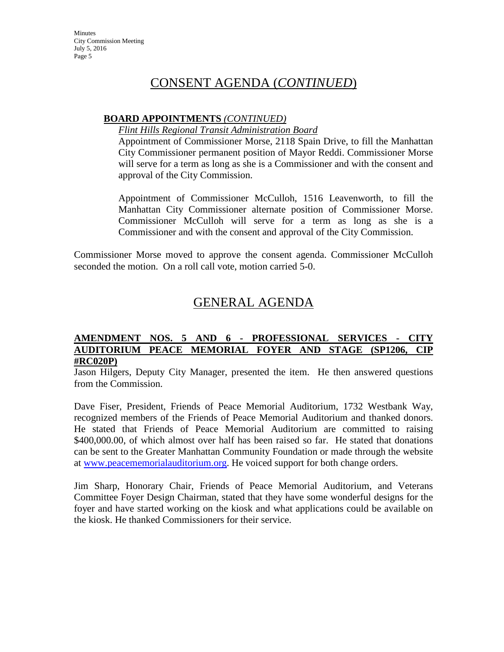# CONSENT AGENDA (*CONTINUED*)

## **BOARD APPOINTMENTS** *(CONTINUED)*

### *Flint Hills Regional Transit Administration Board*

Appointment of Commissioner Morse, 2118 Spain Drive, to fill the Manhattan City Commissioner permanent position of Mayor Reddi. Commissioner Morse will serve for a term as long as she is a Commissioner and with the consent and approval of the City Commission.

Appointment of Commissioner McCulloh, 1516 Leavenworth, to fill the Manhattan City Commissioner alternate position of Commissioner Morse. Commissioner McCulloh will serve for a term as long as she is a Commissioner and with the consent and approval of the City Commission.

Commissioner Morse moved to approve the consent agenda. Commissioner McCulloh seconded the motion. On a roll call vote, motion carried 5-0.

# GENERAL AGENDA

## **AMENDMENT NOS. 5 AND 6 - PROFESSIONAL SERVICES - CITY AUDITORIUM PEACE MEMORIAL FOYER AND STAGE (SP1206, CIP #RC020P)**

Jason Hilgers, Deputy City Manager, presented the item. He then answered questions from the Commission.

Dave Fiser, President, Friends of Peace Memorial Auditorium, 1732 Westbank Way, recognized members of the Friends of Peace Memorial Auditorium and thanked donors. He stated that Friends of Peace Memorial Auditorium are committed to raising \$400,000.00, of which almost over half has been raised so far. He stated that donations can be sent to the Greater Manhattan Community Foundation or made through the website at [www.peacememorialauditorium.org.](http://www.peacememorialauditorium.org/) He voiced support for both change orders.

Jim Sharp, Honorary Chair, Friends of Peace Memorial Auditorium, and Veterans Committee Foyer Design Chairman, stated that they have some wonderful designs for the foyer and have started working on the kiosk and what applications could be available on the kiosk. He thanked Commissioners for their service.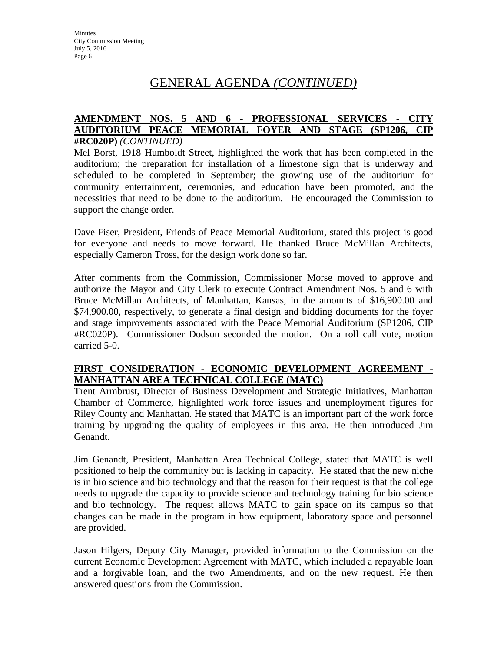## **AMENDMENT NOS. 5 AND 6 - PROFESSIONAL SERVICES - CITY AUDITORIUM PEACE MEMORIAL FOYER AND STAGE (SP1206, CIP #RC020P)** *(CONTINUED)*

Mel Borst, 1918 Humboldt Street, highlighted the work that has been completed in the auditorium; the preparation for installation of a limestone sign that is underway and scheduled to be completed in September; the growing use of the auditorium for community entertainment, ceremonies, and education have been promoted, and the necessities that need to be done to the auditorium. He encouraged the Commission to support the change order.

Dave Fiser, President, Friends of Peace Memorial Auditorium, stated this project is good for everyone and needs to move forward. He thanked Bruce McMillan Architects, especially Cameron Tross, for the design work done so far.

After comments from the Commission, Commissioner Morse moved to approve and authorize the Mayor and City Clerk to execute Contract Amendment Nos. 5 and 6 with Bruce McMillan Architects, of Manhattan, Kansas, in the amounts of \$16,900.00 and \$74,900.00, respectively, to generate a final design and bidding documents for the foyer and stage improvements associated with the Peace Memorial Auditorium (SP1206, CIP #RC020P). Commissioner Dodson seconded the motion. On a roll call vote, motion carried 5-0.

## **FIRST CONSIDERATION - ECONOMIC DEVELOPMENT AGREEMENT - MANHATTAN AREA TECHNICAL COLLEGE (MATC)**

Trent Armbrust, Director of Business Development and Strategic Initiatives, Manhattan Chamber of Commerce, highlighted work force issues and unemployment figures for Riley County and Manhattan. He stated that MATC is an important part of the work force training by upgrading the quality of employees in this area. He then introduced Jim Genandt.

Jim Genandt, President, Manhattan Area Technical College, stated that MATC is well positioned to help the community but is lacking in capacity. He stated that the new niche is in bio science and bio technology and that the reason for their request is that the college needs to upgrade the capacity to provide science and technology training for bio science and bio technology. The request allows MATC to gain space on its campus so that changes can be made in the program in how equipment, laboratory space and personnel are provided.

Jason Hilgers, Deputy City Manager, provided information to the Commission on the current Economic Development Agreement with MATC, which included a repayable loan and a forgivable loan, and the two Amendments, and on the new request. He then answered questions from the Commission.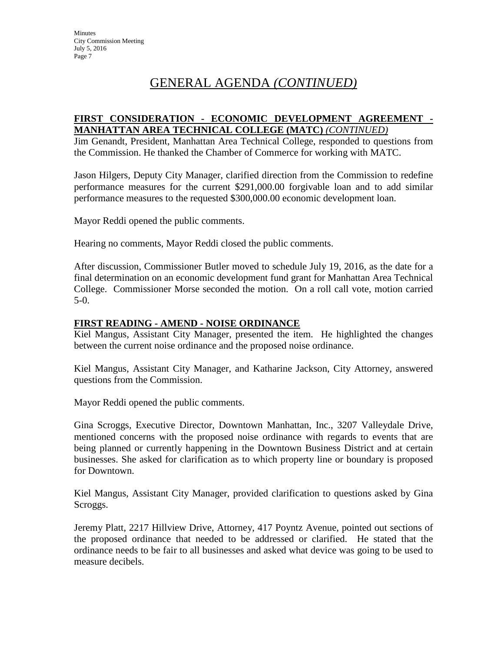## **FIRST CONSIDERATION - ECONOMIC DEVELOPMENT AGREEMENT - MANHATTAN AREA TECHNICAL COLLEGE (MATC)** *(CONTINUED)*

Jim Genandt, President, Manhattan Area Technical College, responded to questions from the Commission. He thanked the Chamber of Commerce for working with MATC.

Jason Hilgers, Deputy City Manager, clarified direction from the Commission to redefine performance measures for the current \$291,000.00 forgivable loan and to add similar performance measures to the requested \$300,000.00 economic development loan.

Mayor Reddi opened the public comments.

Hearing no comments, Mayor Reddi closed the public comments.

After discussion, Commissioner Butler moved to schedule July 19, 2016, as the date for a final determination on an economic development fund grant for Manhattan Area Technical College. Commissioner Morse seconded the motion. On a roll call vote, motion carried 5-0.

## **FIRST READING - AMEND - NOISE ORDINANCE**

Kiel Mangus, Assistant City Manager, presented the item. He highlighted the changes between the current noise ordinance and the proposed noise ordinance.

Kiel Mangus, Assistant City Manager, and Katharine Jackson, City Attorney, answered questions from the Commission.

Mayor Reddi opened the public comments.

Gina Scroggs, Executive Director, Downtown Manhattan, Inc., 3207 Valleydale Drive, mentioned concerns with the proposed noise ordinance with regards to events that are being planned or currently happening in the Downtown Business District and at certain businesses. She asked for clarification as to which property line or boundary is proposed for Downtown.

Kiel Mangus, Assistant City Manager, provided clarification to questions asked by Gina Scroggs.

Jeremy Platt, 2217 Hillview Drive, Attorney, 417 Poyntz Avenue, pointed out sections of the proposed ordinance that needed to be addressed or clarified. He stated that the ordinance needs to be fair to all businesses and asked what device was going to be used to measure decibels.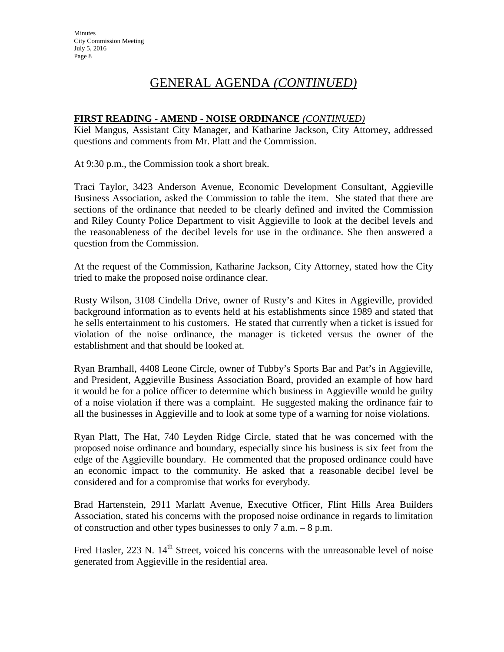## **FIRST READING - AMEND - NOISE ORDINANCE** *(CONTINUED)*

Kiel Mangus, Assistant City Manager, and Katharine Jackson, City Attorney, addressed questions and comments from Mr. Platt and the Commission.

At 9:30 p.m., the Commission took a short break.

Traci Taylor, 3423 Anderson Avenue, Economic Development Consultant, Aggieville Business Association, asked the Commission to table the item. She stated that there are sections of the ordinance that needed to be clearly defined and invited the Commission and Riley County Police Department to visit Aggieville to look at the decibel levels and the reasonableness of the decibel levels for use in the ordinance. She then answered a question from the Commission.

At the request of the Commission, Katharine Jackson, City Attorney, stated how the City tried to make the proposed noise ordinance clear.

Rusty Wilson, 3108 Cindella Drive, owner of Rusty's and Kites in Aggieville, provided background information as to events held at his establishments since 1989 and stated that he sells entertainment to his customers. He stated that currently when a ticket is issued for violation of the noise ordinance, the manager is ticketed versus the owner of the establishment and that should be looked at.

Ryan Bramhall, 4408 Leone Circle, owner of Tubby's Sports Bar and Pat's in Aggieville, and President, Aggieville Business Association Board, provided an example of how hard it would be for a police officer to determine which business in Aggieville would be guilty of a noise violation if there was a complaint. He suggested making the ordinance fair to all the businesses in Aggieville and to look at some type of a warning for noise violations.

Ryan Platt, The Hat, 740 Leyden Ridge Circle, stated that he was concerned with the proposed noise ordinance and boundary, especially since his business is six feet from the edge of the Aggieville boundary. He commented that the proposed ordinance could have an economic impact to the community. He asked that a reasonable decibel level be considered and for a compromise that works for everybody.

Brad Hartenstein, 2911 Marlatt Avenue, Executive Officer, Flint Hills Area Builders Association, stated his concerns with the proposed noise ordinance in regards to limitation of construction and other types businesses to only 7 a.m. – 8 p.m.

Fred Hasler, 223 N. 14<sup>th</sup> Street, voiced his concerns with the unreasonable level of noise generated from Aggieville in the residential area.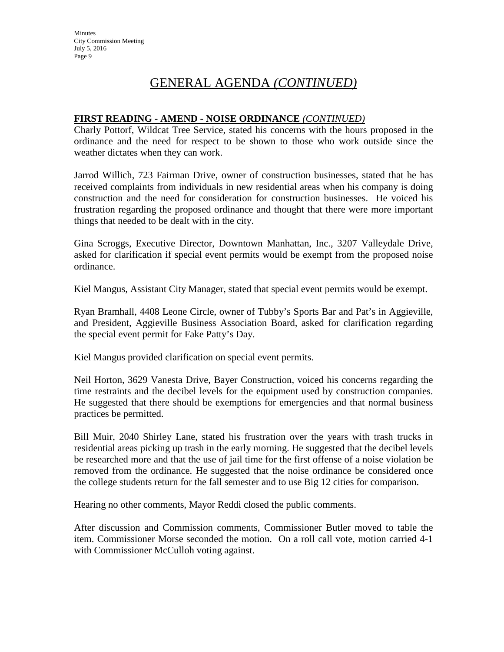## **FIRST READING - AMEND - NOISE ORDINANCE** *(CONTINUED)*

Charly Pottorf, Wildcat Tree Service, stated his concerns with the hours proposed in the ordinance and the need for respect to be shown to those who work outside since the weather dictates when they can work.

Jarrod Willich, 723 Fairman Drive, owner of construction businesses, stated that he has received complaints from individuals in new residential areas when his company is doing construction and the need for consideration for construction businesses. He voiced his frustration regarding the proposed ordinance and thought that there were more important things that needed to be dealt with in the city.

Gina Scroggs, Executive Director, Downtown Manhattan, Inc., 3207 Valleydale Drive, asked for clarification if special event permits would be exempt from the proposed noise ordinance.

Kiel Mangus, Assistant City Manager, stated that special event permits would be exempt.

Ryan Bramhall, 4408 Leone Circle, owner of Tubby's Sports Bar and Pat's in Aggieville, and President, Aggieville Business Association Board, asked for clarification regarding the special event permit for Fake Patty's Day.

Kiel Mangus provided clarification on special event permits.

Neil Horton, 3629 Vanesta Drive, Bayer Construction, voiced his concerns regarding the time restraints and the decibel levels for the equipment used by construction companies. He suggested that there should be exemptions for emergencies and that normal business practices be permitted.

Bill Muir, 2040 Shirley Lane, stated his frustration over the years with trash trucks in residential areas picking up trash in the early morning. He suggested that the decibel levels be researched more and that the use of jail time for the first offense of a noise violation be removed from the ordinance. He suggested that the noise ordinance be considered once the college students return for the fall semester and to use Big 12 cities for comparison.

Hearing no other comments, Mayor Reddi closed the public comments.

After discussion and Commission comments, Commissioner Butler moved to table the item. Commissioner Morse seconded the motion. On a roll call vote, motion carried 4-1 with Commissioner McCulloh voting against.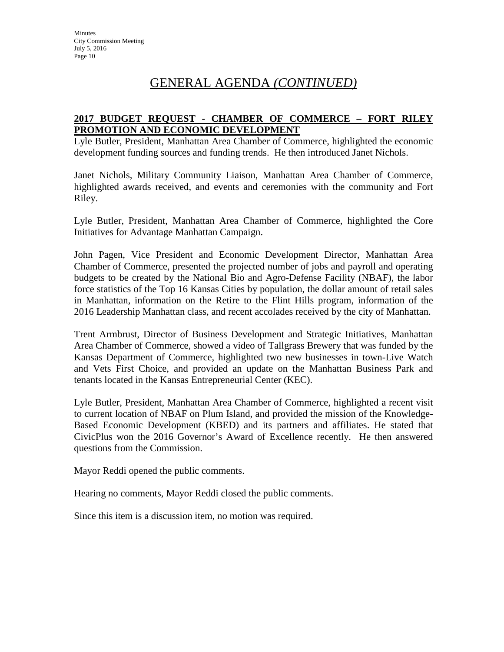## **2017 BUDGET REQUEST - CHAMBER OF COMMERCE – FORT RILEY PROMOTION AND ECONOMIC DEVELOPMENT**

Lyle Butler, President, Manhattan Area Chamber of Commerce, highlighted the economic development funding sources and funding trends. He then introduced Janet Nichols.

Janet Nichols, Military Community Liaison, Manhattan Area Chamber of Commerce, highlighted awards received, and events and ceremonies with the community and Fort Riley.

Lyle Butler, President, Manhattan Area Chamber of Commerce, highlighted the Core Initiatives for Advantage Manhattan Campaign.

John Pagen, Vice President and Economic Development Director, Manhattan Area Chamber of Commerce, presented the projected number of jobs and payroll and operating budgets to be created by the National Bio and Agro-Defense Facility (NBAF), the labor force statistics of the Top 16 Kansas Cities by population, the dollar amount of retail sales in Manhattan, information on the Retire to the Flint Hills program, information of the 2016 Leadership Manhattan class, and recent accolades received by the city of Manhattan.

Trent Armbrust, Director of Business Development and Strategic Initiatives, Manhattan Area Chamber of Commerce, showed a video of Tallgrass Brewery that was funded by the Kansas Department of Commerce, highlighted two new businesses in town-Live Watch and Vets First Choice, and provided an update on the Manhattan Business Park and tenants located in the Kansas Entrepreneurial Center (KEC).

Lyle Butler, President, Manhattan Area Chamber of Commerce, highlighted a recent visit to current location of NBAF on Plum Island, and provided the mission of the Knowledge-Based Economic Development (KBED) and its partners and affiliates. He stated that CivicPlus won the 2016 Governor's Award of Excellence recently. He then answered questions from the Commission.

Mayor Reddi opened the public comments.

Hearing no comments, Mayor Reddi closed the public comments.

Since this item is a discussion item, no motion was required.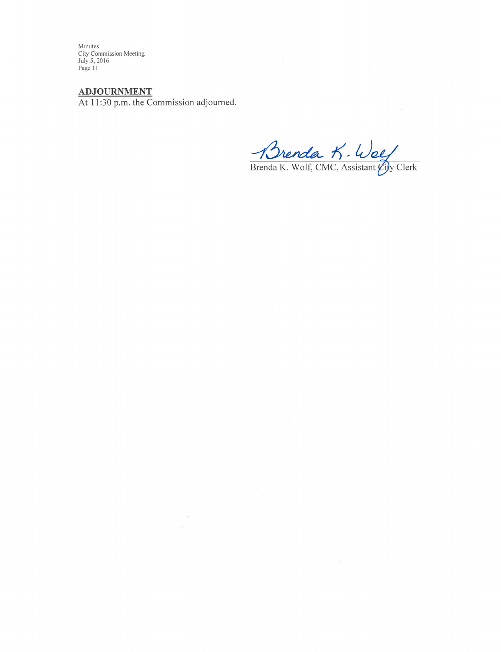ADJOURNMENT<br>At 11:30 p.m. the Commission adjourned.

Brenda K. Wolf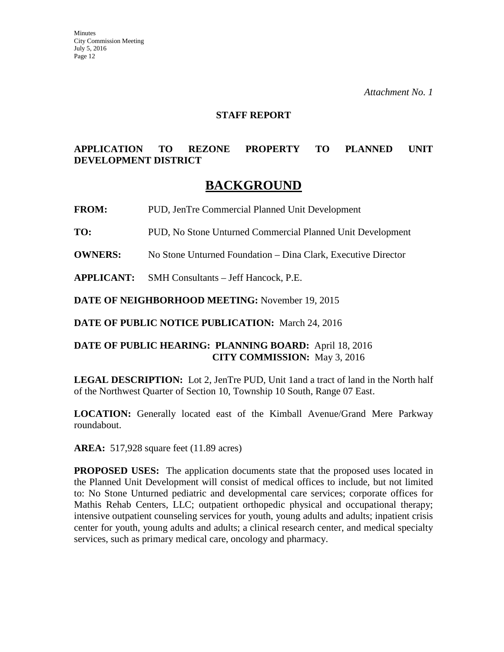### **STAFF REPORT**

## **APPLICATION TO REZONE PROPERTY TO PLANNED UNIT DEVELOPMENT DISTRICT**

## **BACKGROUND**

**FROM:** PUD, JenTre Commercial Planned Unit Development

**TO:** PUD, No Stone Unturned Commercial Planned Unit Development

**OWNERS:** No Stone Unturned Foundation – Dina Clark, Executive Director

**APPLICANT:** SMH Consultants – Jeff Hancock, P.E.

**DATE OF NEIGHBORHOOD MEETING:** November 19, 2015

**DATE OF PUBLIC NOTICE PUBLICATION:** March 24, 2016

## **DATE OF PUBLIC HEARING: PLANNING BOARD:** April 18, 2016 **CITY COMMISSION:** May 3, 2016

**LEGAL DESCRIPTION:** Lot 2, JenTre PUD, Unit 1and a tract of land in the North half of the Northwest Quarter of Section 10, Township 10 South, Range 07 East.

**LOCATION:** Generally located east of the Kimball Avenue/Grand Mere Parkway roundabout.

**AREA:** 517,928 square feet (11.89 acres)

**PROPOSED USES:** The application documents state that the proposed uses located in the Planned Unit Development will consist of medical offices to include, but not limited to: No Stone Unturned pediatric and developmental care services; corporate offices for Mathis Rehab Centers, LLC; outpatient orthopedic physical and occupational therapy; intensive outpatient counseling services for youth, young adults and adults; inpatient crisis center for youth, young adults and adults; a clinical research center, and medical specialty services, such as primary medical care, oncology and pharmacy.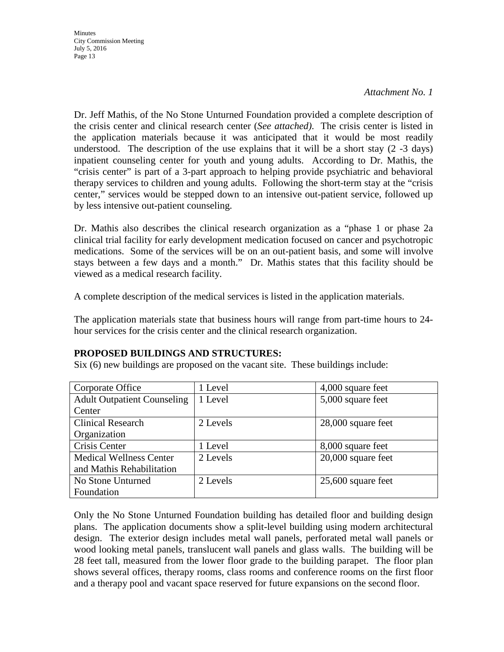Dr. Jeff Mathis, of the No Stone Unturned Foundation provided a complete description of the crisis center and clinical research center (*See attached)*. The crisis center is listed in the application materials because it was anticipated that it would be most readily understood. The description of the use explains that it will be a short stay  $(2 -3)$  days) inpatient counseling center for youth and young adults. According to Dr. Mathis, the "crisis center" is part of a 3-part approach to helping provide psychiatric and behavioral therapy services to children and young adults. Following the short-term stay at the "crisis center," services would be stepped down to an intensive out-patient service, followed up by less intensive out-patient counseling.

Dr. Mathis also describes the clinical research organization as a "phase 1 or phase 2a clinical trial facility for early development medication focused on cancer and psychotropic medications. Some of the services will be on an out-patient basis, and some will involve stays between a few days and a month." Dr. Mathis states that this facility should be viewed as a medical research facility.

A complete description of the medical services is listed in the application materials.

The application materials state that business hours will range from part-time hours to 24 hour services for the crisis center and the clinical research organization.

## **PROPOSED BUILDINGS AND STRUCTURES:**

Six (6) new buildings are proposed on the vacant site. These buildings include:

| Corporate Office                   | 1 Level  | 4,000 square feet    |
|------------------------------------|----------|----------------------|
| <b>Adult Outpatient Counseling</b> | 1 Level  | 5,000 square feet    |
| Center                             |          |                      |
| <b>Clinical Research</b>           | 2 Levels | 28,000 square feet   |
| Organization                       |          |                      |
| Crisis Center                      | 1 Level  | 8,000 square feet    |
| <b>Medical Wellness Center</b>     | 2 Levels | $20,000$ square feet |
| and Mathis Rehabilitation          |          |                      |
| No Stone Unturned                  | 2 Levels | $25,600$ square feet |
| Foundation                         |          |                      |

Only the No Stone Unturned Foundation building has detailed floor and building design plans. The application documents show a split-level building using modern architectural design. The exterior design includes metal wall panels, perforated metal wall panels or wood looking metal panels, translucent wall panels and glass walls. The building will be 28 feet tall, measured from the lower floor grade to the building parapet. The floor plan shows several offices, therapy rooms, class rooms and conference rooms on the first floor and a therapy pool and vacant space reserved for future expansions on the second floor.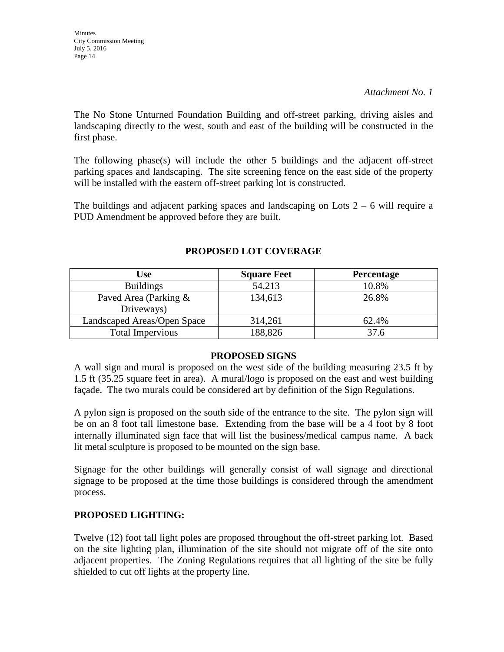### *Attachment No. 1*

The No Stone Unturned Foundation Building and off-street parking, driving aisles and landscaping directly to the west, south and east of the building will be constructed in the first phase.

The following phase(s) will include the other 5 buildings and the adjacent off-street parking spaces and landscaping. The site screening fence on the east side of the property will be installed with the eastern off-street parking lot is constructed.

The buildings and adjacent parking spaces and landscaping on Lots  $2 - 6$  will require a PUD Amendment be approved before they are built.

| <b>Use</b>                  | <b>Square Feet</b> | <b>Percentage</b> |
|-----------------------------|--------------------|-------------------|
| <b>Buildings</b>            | 54,213             | 10.8%             |
| Paved Area (Parking &       | 134,613            | 26.8%             |
| Driveways)                  |                    |                   |
| Landscaped Areas/Open Space | 314,261            | 62.4%             |
| <b>Total Impervious</b>     | 188,826            | 37.6              |

## **PROPOSED LOT COVERAGE**

### **PROPOSED SIGNS**

A wall sign and mural is proposed on the west side of the building measuring 23.5 ft by 1.5 ft (35.25 square feet in area). A mural/logo is proposed on the east and west building façade. The two murals could be considered art by definition of the Sign Regulations.

A pylon sign is proposed on the south side of the entrance to the site. The pylon sign will be on an 8 foot tall limestone base. Extending from the base will be a 4 foot by 8 foot internally illuminated sign face that will list the business/medical campus name. A back lit metal sculpture is proposed to be mounted on the sign base.

Signage for the other buildings will generally consist of wall signage and directional signage to be proposed at the time those buildings is considered through the amendment process.

## **PROPOSED LIGHTING:**

Twelve (12) foot tall light poles are proposed throughout the off-street parking lot. Based on the site lighting plan, illumination of the site should not migrate off of the site onto adjacent properties. The Zoning Regulations requires that all lighting of the site be fully shielded to cut off lights at the property line.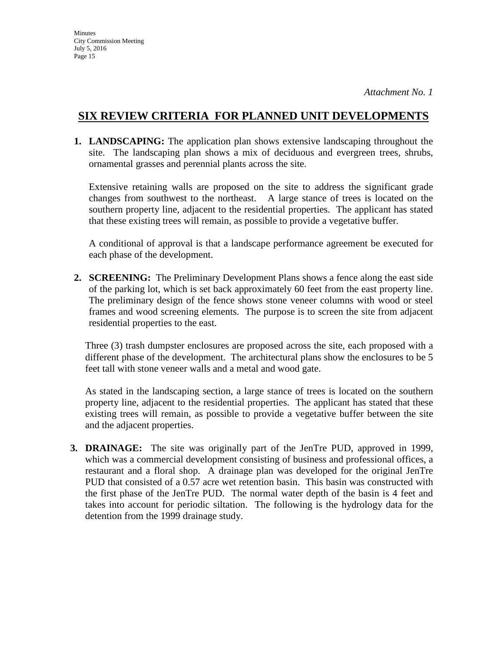**1. LANDSCAPING:** The application plan shows extensive landscaping throughout the site. The landscaping plan shows a mix of deciduous and evergreen trees, shrubs, ornamental grasses and perennial plants across the site.

Extensive retaining walls are proposed on the site to address the significant grade changes from southwest to the northeast. A large stance of trees is located on the southern property line, adjacent to the residential properties. The applicant has stated that these existing trees will remain, as possible to provide a vegetative buffer.

A conditional of approval is that a landscape performance agreement be executed for each phase of the development.

**2. SCREENING:** The Preliminary Development Plans shows a fence along the east side of the parking lot, which is set back approximately 60 feet from the east property line. The preliminary design of the fence shows stone veneer columns with wood or steel frames and wood screening elements. The purpose is to screen the site from adjacent residential properties to the east.

Three (3) trash dumpster enclosures are proposed across the site, each proposed with a different phase of the development. The architectural plans show the enclosures to be 5 feet tall with stone veneer walls and a metal and wood gate.

As stated in the landscaping section, a large stance of trees is located on the southern property line, adjacent to the residential properties. The applicant has stated that these existing trees will remain, as possible to provide a vegetative buffer between the site and the adjacent properties.

**3. DRAINAGE:** The site was originally part of the JenTre PUD, approved in 1999, which was a commercial development consisting of business and professional offices, a restaurant and a floral shop. A drainage plan was developed for the original JenTre PUD that consisted of a 0.57 acre wet retention basin. This basin was constructed with the first phase of the JenTre PUD. The normal water depth of the basin is 4 feet and takes into account for periodic siltation. The following is the hydrology data for the detention from the 1999 drainage study.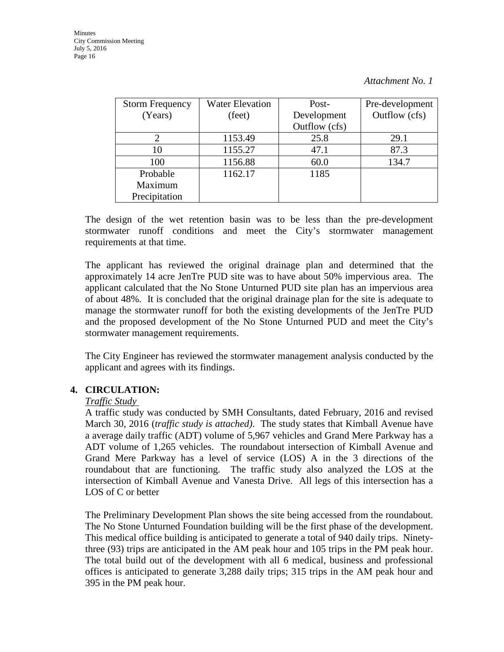| <b>Storm Frequency</b> | <b>Water Elevation</b> | Post-         | Pre-development |
|------------------------|------------------------|---------------|-----------------|
| (Years)                | (feet)                 | Development   | Outflow (cfs)   |
|                        |                        | Outflow (cfs) |                 |
|                        | 1153.49                | 25.8          | 29.1            |
| 10                     | 1155.27                | 47.1          | 87.3            |
| 100                    | 1156.88                | 60.0          | 134.7           |
| Probable               | 1162.17                | 1185          |                 |
| Maximum                |                        |               |                 |
| Precipitation          |                        |               |                 |

Precipitation The design of the wet retention basin was to be less than the pre-development

stormwater runoff conditions and meet the City's stormwater management requirements at that time.

The applicant has reviewed the original drainage plan and determined that the approximately 14 acre JenTre PUD site was to have about 50% impervious area. The applicant calculated that the No Stone Unturned PUD site plan has an impervious area of about 48%. It is concluded that the original drainage plan for the site is adequate to manage the stormwater runoff for both the existing developments of the JenTre PUD and the proposed development of the No Stone Unturned PUD and meet the City's stormwater management requirements.

The City Engineer has reviewed the stormwater management analysis conducted by the applicant and agrees with its findings.

## **4. CIRCULATION:**

### *Traffic Study*

A traffic study was conducted by SMH Consultants, dated February, 2016 and revised March 30, 2016 (*traffic study is attached)*. The study states that Kimball Avenue have a average daily traffic (ADT) volume of 5,967 vehicles and Grand Mere Parkway has a ADT volume of 1,265 vehicles. The roundabout intersection of Kimball Avenue and Grand Mere Parkway has a level of service (LOS) A in the 3 directions of the roundabout that are functioning. The traffic study also analyzed the LOS at the intersection of Kimball Avenue and Vanesta Drive. All legs of this intersection has a LOS of C or better

The Preliminary Development Plan shows the site being accessed from the roundabout. The No Stone Unturned Foundation building will be the first phase of the development. This medical office building is anticipated to generate a total of 940 daily trips. Ninetythree (93) trips are anticipated in the AM peak hour and 105 trips in the PM peak hour. The total build out of the development with all 6 medical, business and professional offices is anticipated to generate 3,288 daily trips; 315 trips in the AM peak hour and 395 in the PM peak hour.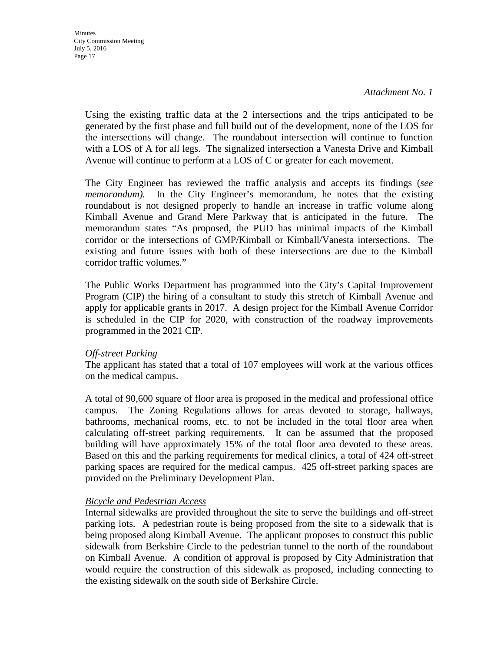*Attachment No. 1*

Using the existing traffic data at the 2 intersections and the trips anticipated to be generated by the first phase and full build out of the development, none of the LOS for the intersections will change. The roundabout intersection will continue to function with a LOS of A for all legs. The signalized intersection a Vanesta Drive and Kimball Avenue will continue to perform at a LOS of C or greater for each movement.

The City Engineer has reviewed the traffic analysis and accepts its findings (*see memorandum*). In the City Engineer's memorandum, he notes that the existing roundabout is not designed properly to handle an increase in traffic volume along Kimball Avenue and Grand Mere Parkway that is anticipated in the future. The memorandum states "As proposed, the PUD has minimal impacts of the Kimball corridor or the intersections of GMP/Kimball or Kimball/Vanesta intersections. The existing and future issues with both of these intersections are due to the Kimball corridor traffic volumes."

The Public Works Department has programmed into the City's Capital Improvement Program (CIP) the hiring of a consultant to study this stretch of Kimball Avenue and apply for applicable grants in 2017. A design project for the Kimball Avenue Corridor is scheduled in the CIP for 2020, with construction of the roadway improvements programmed in the 2021 CIP.

### *Off-street Parking*

The applicant has stated that a total of 107 employees will work at the various offices on the medical campus.

A total of 90,600 square of floor area is proposed in the medical and professional office campus. The Zoning Regulations allows for areas devoted to storage, hallways, bathrooms, mechanical rooms, etc. to not be included in the total floor area when calculating off-street parking requirements. It can be assumed that the proposed building will have approximately 15% of the total floor area devoted to these areas. Based on this and the parking requirements for medical clinics, a total of 424 off-street parking spaces are required for the medical campus. 425 off-street parking spaces are provided on the Preliminary Development Plan.

### *Bicycle and Pedestrian Access*

Internal sidewalks are provided throughout the site to serve the buildings and off-street parking lots. A pedestrian route is being proposed from the site to a sidewalk that is being proposed along Kimball Avenue. The applicant proposes to construct this public sidewalk from Berkshire Circle to the pedestrian tunnel to the north of the roundabout on Kimball Avenue. A condition of approval is proposed by City Administration that would require the construction of this sidewalk as proposed, including connecting to the existing sidewalk on the south side of Berkshire Circle.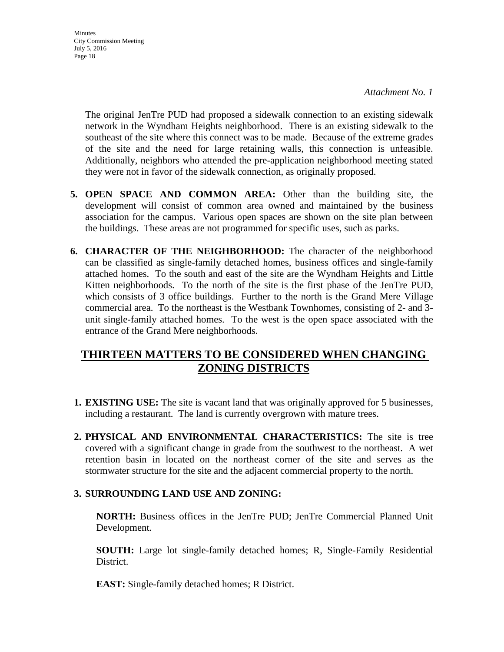The original JenTre PUD had proposed a sidewalk connection to an existing sidewalk network in the Wyndham Heights neighborhood. There is an existing sidewalk to the southeast of the site where this connect was to be made. Because of the extreme grades of the site and the need for large retaining walls, this connection is unfeasible. Additionally, neighbors who attended the pre-application neighborhood meeting stated they were not in favor of the sidewalk connection, as originally proposed.

- **5. OPEN SPACE AND COMMON AREA:** Other than the building site, the development will consist of common area owned and maintained by the business association for the campus. Various open spaces are shown on the site plan between the buildings. These areas are not programmed for specific uses, such as parks.
- **6. CHARACTER OF THE NEIGHBORHOOD:** The character of the neighborhood can be classified as single-family detached homes, business offices and single-family attached homes. To the south and east of the site are the Wyndham Heights and Little Kitten neighborhoods. To the north of the site is the first phase of the JenTre PUD, which consists of 3 office buildings. Further to the north is the Grand Mere Village commercial area. To the northeast is the Westbank Townhomes, consisting of 2- and 3 unit single-family attached homes. To the west is the open space associated with the entrance of the Grand Mere neighborhoods.

# **THIRTEEN MATTERS TO BE CONSIDERED WHEN CHANGING ZONING DISTRICTS**

- **1. EXISTING USE:** The site is vacant land that was originally approved for 5 businesses, including a restaurant. The land is currently overgrown with mature trees.
- **2. PHYSICAL AND ENVIRONMENTAL CHARACTERISTICS:** The site is tree covered with a significant change in grade from the southwest to the northeast. A wet retention basin in located on the northeast corner of the site and serves as the stormwater structure for the site and the adjacent commercial property to the north.

## **3. SURROUNDING LAND USE AND ZONING:**

**NORTH:** Business offices in the JenTre PUD; JenTre Commercial Planned Unit Development.

**SOUTH:** Large lot single-family detached homes; R, Single-Family Residential District.

**EAST:** Single-family detached homes; R District.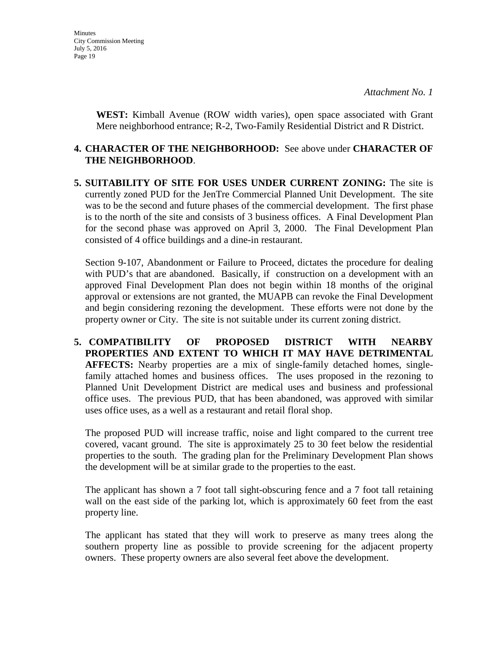**WEST:** Kimball Avenue (ROW width varies), open space associated with Grant Mere neighborhood entrance; R-2, Two-Family Residential District and R District.

## **4. CHARACTER OF THE NEIGHBORHOOD:** See above under **CHARACTER OF THE NEIGHBORHOOD**.

**5. SUITABILITY OF SITE FOR USES UNDER CURRENT ZONING:** The site is currently zoned PUD for the JenTre Commercial Planned Unit Development. The site was to be the second and future phases of the commercial development. The first phase is to the north of the site and consists of 3 business offices. A Final Development Plan for the second phase was approved on April 3, 2000. The Final Development Plan consisted of 4 office buildings and a dine-in restaurant.

Section 9-107, Abandonment or Failure to Proceed, dictates the procedure for dealing with PUD's that are abandoned. Basically, if construction on a development with an approved Final Development Plan does not begin within 18 months of the original approval or extensions are not granted, the MUAPB can revoke the Final Development and begin considering rezoning the development. These efforts were not done by the property owner or City. The site is not suitable under its current zoning district.

**5. COMPATIBILITY OF PROPOSED DISTRICT WITH NEARBY PROPERTIES AND EXTENT TO WHICH IT MAY HAVE DETRIMENTAL AFFECTS:** Nearby properties are a mix of single-family detached homes, singlefamily attached homes and business offices. The uses proposed in the rezoning to Planned Unit Development District are medical uses and business and professional office uses. The previous PUD, that has been abandoned, was approved with similar uses office uses, as a well as a restaurant and retail floral shop.

The proposed PUD will increase traffic, noise and light compared to the current tree covered, vacant ground. The site is approximately 25 to 30 feet below the residential properties to the south. The grading plan for the Preliminary Development Plan shows the development will be at similar grade to the properties to the east.

The applicant has shown a 7 foot tall sight-obscuring fence and a 7 foot tall retaining wall on the east side of the parking lot, which is approximately 60 feet from the east property line.

The applicant has stated that they will work to preserve as many trees along the southern property line as possible to provide screening for the adjacent property owners. These property owners are also several feet above the development.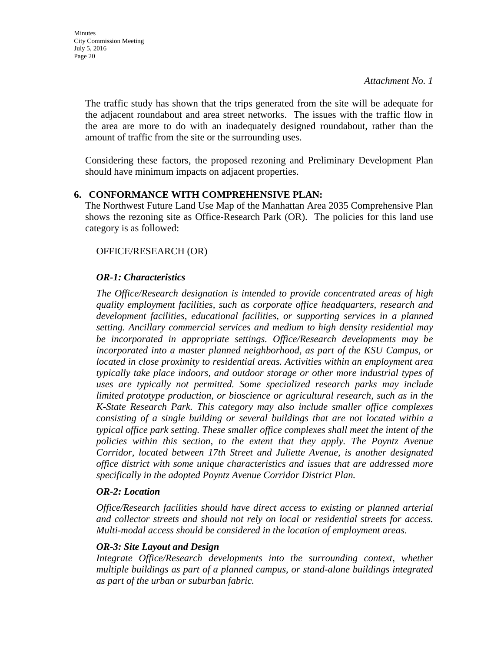The traffic study has shown that the trips generated from the site will be adequate for the adjacent roundabout and area street networks. The issues with the traffic flow in the area are more to do with an inadequately designed roundabout, rather than the amount of traffic from the site or the surrounding uses.

Considering these factors, the proposed rezoning and Preliminary Development Plan should have minimum impacts on adjacent properties.

## **6. CONFORMANCE WITH COMPREHENSIVE PLAN:**

The Northwest Future Land Use Map of the Manhattan Area 2035 Comprehensive Plan shows the rezoning site as Office-Research Park (OR). The policies for this land use category is as followed:

## OFFICE/RESEARCH (OR)

## *OR-1: Characteristics*

*The Office/Research designation is intended to provide concentrated areas of high quality employment facilities, such as corporate office headquarters, research and development facilities, educational facilities, or supporting services in a planned setting. Ancillary commercial services and medium to high density residential may be incorporated in appropriate settings. Office/Research developments may be incorporated into a master planned neighborhood, as part of the KSU Campus, or located in close proximity to residential areas. Activities within an employment area typically take place indoors, and outdoor storage or other more industrial types of uses are typically not permitted. Some specialized research parks may include limited prototype production, or bioscience or agricultural research, such as in the K-State Research Park. This category may also include smaller office complexes consisting of a single building or several buildings that are not located within a typical office park setting. These smaller office complexes shall meet the intent of the policies within this section, to the extent that they apply. The Poyntz Avenue Corridor, located between 17th Street and Juliette Avenue, is another designated office district with some unique characteristics and issues that are addressed more specifically in the adopted Poyntz Avenue Corridor District Plan.* 

## *OR-2: Location*

*Office/Research facilities should have direct access to existing or planned arterial and collector streets and should not rely on local or residential streets for access. Multi-modal access should be considered in the location of employment areas.* 

## *OR-3: Site Layout and Design*

*Integrate Office/Research developments into the surrounding context, whether multiple buildings as part of a planned campus, or stand-alone buildings integrated as part of the urban or suburban fabric.*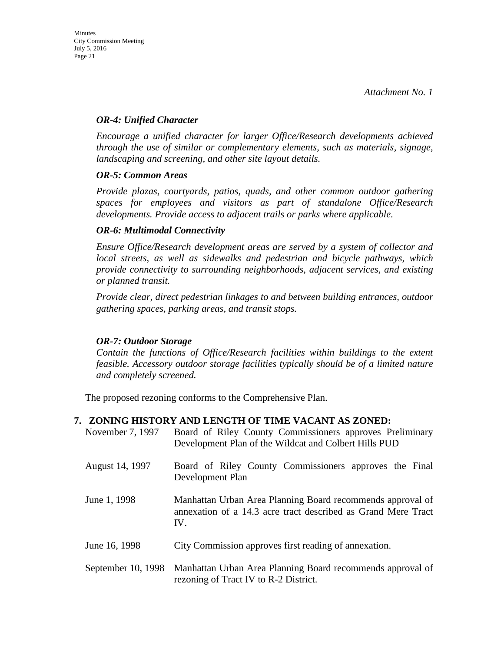## *OR-4: Unified Character*

*Encourage a unified character for larger Office/Research developments achieved through the use of similar or complementary elements, such as materials, signage, landscaping and screening, and other site layout details.* 

## *OR-5: Common Areas*

*Provide plazas, courtyards, patios, quads, and other common outdoor gathering spaces for employees and visitors as part of standalone Office/Research developments. Provide access to adjacent trails or parks where applicable.* 

## *OR-6: Multimodal Connectivity*

*Ensure Office/Research development areas are served by a system of collector and local streets, as well as sidewalks and pedestrian and bicycle pathways, which provide connectivity to surrounding neighborhoods, adjacent services, and existing or planned transit.* 

*Provide clear, direct pedestrian linkages to and between building entrances, outdoor gathering spaces, parking areas, and transit stops.* 

## *OR-7: Outdoor Storage*

*Contain the functions of Office/Research facilities within buildings to the extent feasible. Accessory outdoor storage facilities typically should be of a limited nature and completely screened.*

The proposed rezoning conforms to the Comprehensive Plan.

## **7. ZONING HISTORY AND LENGTH OF TIME VACANT AS ZONED:**

| November 7, 1997   | Board of Riley County Commissioners approves Preliminary<br>Development Plan of the Wildcat and Colbert Hills PUD                  |
|--------------------|------------------------------------------------------------------------------------------------------------------------------------|
| August 14, 1997    | Board of Riley County Commissioners approves the Final<br>Development Plan                                                         |
| June 1, 1998       | Manhattan Urban Area Planning Board recommends approval of<br>annexation of a 14.3 acre tract described as Grand Mere Tract<br>IV. |
| June 16, 1998      | City Commission approves first reading of annexation.                                                                              |
| September 10, 1998 | Manhattan Urban Area Planning Board recommends approval of<br>rezoning of Tract IV to R-2 District.                                |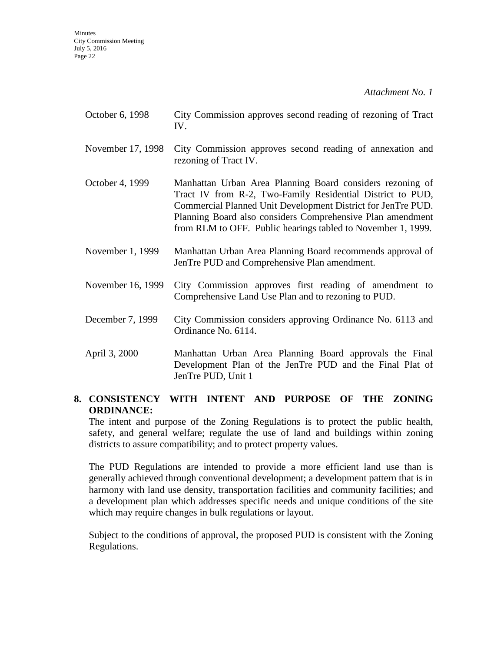*Attachment No. 1*

- October 6, 1998 City Commission approves second reading of rezoning of Tract IV.
- November 17, 1998 City Commission approves second reading of annexation and rezoning of Tract IV.
- October 4, 1999 Manhattan Urban Area Planning Board considers rezoning of Tract IV from R-2, Two-Family Residential District to PUD, Commercial Planned Unit Development District for JenTre PUD. Planning Board also considers Comprehensive Plan amendment from RLM to OFF. Public hearings tabled to November 1, 1999.
- November 1, 1999 Manhattan Urban Area Planning Board recommends approval of JenTre PUD and Comprehensive Plan amendment.
- November 16, 1999 City Commission approves first reading of amendment to Comprehensive Land Use Plan and to rezoning to PUD.
- December 7, 1999 City Commission considers approving Ordinance No. 6113 and Ordinance No. 6114.
- April 3, 2000 Manhattan Urban Area Planning Board approvals the Final Development Plan of the JenTre PUD and the Final Plat of JenTre PUD, Unit 1

## **8. CONSISTENCY WITH INTENT AND PURPOSE OF THE ZONING ORDINANCE:**

The intent and purpose of the Zoning Regulations is to protect the public health, safety, and general welfare; regulate the use of land and buildings within zoning districts to assure compatibility; and to protect property values.

The PUD Regulations are intended to provide a more efficient land use than is generally achieved through conventional development; a development pattern that is in harmony with land use density, transportation facilities and community facilities; and a development plan which addresses specific needs and unique conditions of the site which may require changes in bulk regulations or layout.

Subject to the conditions of approval, the proposed PUD is consistent with the Zoning Regulations.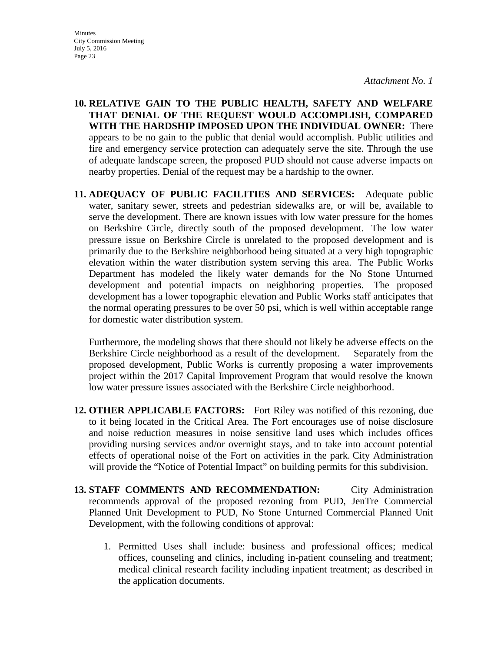*Attachment No. 1*

- **10. RELATIVE GAIN TO THE PUBLIC HEALTH, SAFETY AND WELFARE THAT DENIAL OF THE REQUEST WOULD ACCOMPLISH, COMPARED WITH THE HARDSHIP IMPOSED UPON THE INDIVIDUAL OWNER:** There appears to be no gain to the public that denial would accomplish. Public utilities and fire and emergency service protection can adequately serve the site. Through the use of adequate landscape screen, the proposed PUD should not cause adverse impacts on nearby properties. Denial of the request may be a hardship to the owner.
- **11. ADEQUACY OF PUBLIC FACILITIES AND SERVICES:** Adequate public water, sanitary sewer, streets and pedestrian sidewalks are, or will be, available to serve the development. There are known issues with low water pressure for the homes on Berkshire Circle, directly south of the proposed development. The low water pressure issue on Berkshire Circle is unrelated to the proposed development and is primarily due to the Berkshire neighborhood being situated at a very high topographic elevation within the water distribution system serving this area. The Public Works Department has modeled the likely water demands for the No Stone Unturned development and potential impacts on neighboring properties. The proposed development has a lower topographic elevation and Public Works staff anticipates that the normal operating pressures to be over 50 psi, which is well within acceptable range for domestic water distribution system.

Furthermore, the modeling shows that there should not likely be adverse effects on the Berkshire Circle neighborhood as a result of the development. Separately from the proposed development, Public Works is currently proposing a water improvements project within the 2017 Capital Improvement Program that would resolve the known low water pressure issues associated with the Berkshire Circle neighborhood.

- **12. OTHER APPLICABLE FACTORS:** Fort Riley was notified of this rezoning, due to it being located in the Critical Area. The Fort encourages use of noise disclosure and noise reduction measures in noise sensitive land uses which includes offices providing nursing services and/or overnight stays, and to take into account potential effects of operational noise of the Fort on activities in the park. City Administration will provide the "Notice of Potential Impact" on building permits for this subdivision.
- **13. STAFF COMMENTS AND RECOMMENDATION:** City Administration recommends approval of the proposed rezoning from PUD, JenTre Commercial Planned Unit Development to PUD, No Stone Unturned Commercial Planned Unit Development, with the following conditions of approval:
	- 1. Permitted Uses shall include: business and professional offices; medical offices, counseling and clinics, including in-patient counseling and treatment; medical clinical research facility including inpatient treatment; as described in the application documents.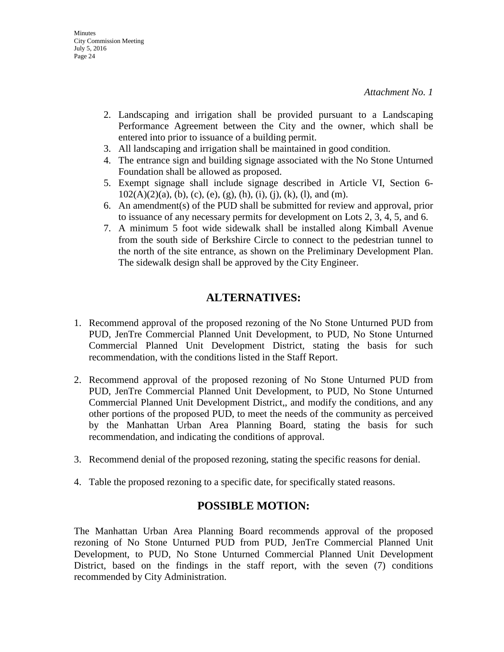- 2. Landscaping and irrigation shall be provided pursuant to a Landscaping Performance Agreement between the City and the owner, which shall be entered into prior to issuance of a building permit.
- 3. All landscaping and irrigation shall be maintained in good condition.
- 4. The entrance sign and building signage associated with the No Stone Unturned Foundation shall be allowed as proposed.
- 5. Exempt signage shall include signage described in Article VI, Section 6-  $102(A)(2)(a)$ , (b), (c), (e), (g), (h), (i), (j), (k), (l), and (m).
- 6. An amendment(s) of the PUD shall be submitted for review and approval, prior to issuance of any necessary permits for development on Lots 2, 3, 4, 5, and 6.
- 7. A minimum 5 foot wide sidewalk shall be installed along Kimball Avenue from the south side of Berkshire Circle to connect to the pedestrian tunnel to the north of the site entrance, as shown on the Preliminary Development Plan. The sidewalk design shall be approved by the City Engineer.

## **ALTERNATIVES:**

- 1. Recommend approval of the proposed rezoning of the No Stone Unturned PUD from PUD, JenTre Commercial Planned Unit Development, to PUD, No Stone Unturned Commercial Planned Unit Development District, stating the basis for such recommendation, with the conditions listed in the Staff Report.
- 2. Recommend approval of the proposed rezoning of No Stone Unturned PUD from PUD, JenTre Commercial Planned Unit Development, to PUD, No Stone Unturned Commercial Planned Unit Development District,, and modify the conditions, and any other portions of the proposed PUD, to meet the needs of the community as perceived by the Manhattan Urban Area Planning Board, stating the basis for such recommendation, and indicating the conditions of approval.
- 3. Recommend denial of the proposed rezoning, stating the specific reasons for denial.
- 4. Table the proposed rezoning to a specific date, for specifically stated reasons.

## **POSSIBLE MOTION:**

The Manhattan Urban Area Planning Board recommends approval of the proposed rezoning of No Stone Unturned PUD from PUD, JenTre Commercial Planned Unit Development, to PUD, No Stone Unturned Commercial Planned Unit Development District, based on the findings in the staff report, with the seven (7) conditions recommended by City Administration.